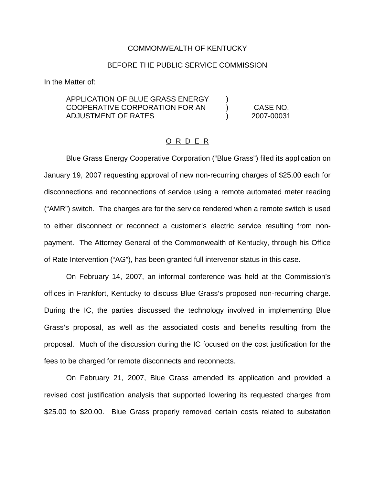## COMMONWEALTH OF KENTUCKY

## BEFORE THE PUBLIC SERVICE COMMISSION

In the Matter of:

## APPLICATION OF BLUE GRASS ENERGY COOPERATIVE CORPORATION FOR AN ADJUSTMENT OF RATES

CASE NO. 2007-00031

) )  $\lambda$ 

## O R D E R

Blue Grass Energy Cooperative Corporation ("Blue Grass") filed its application on January 19, 2007 requesting approval of new non-recurring charges of \$25.00 each for disconnections and reconnections of service using a remote automated meter reading ("AMR") switch. The charges are for the service rendered when a remote switch is used to either disconnect or reconnect a customer's electric service resulting from nonpayment. The Attorney General of the Commonwealth of Kentucky, through his Office of Rate Intervention ("AG"), has been granted full intervenor status in this case.

On February 14, 2007, an informal conference was held at the Commission's offices in Frankfort, Kentucky to discuss Blue Grass's proposed non-recurring charge. During the IC, the parties discussed the technology involved in implementing Blue Grass's proposal, as well as the associated costs and benefits resulting from the proposal. Much of the discussion during the IC focused on the cost justification for the fees to be charged for remote disconnects and reconnects.

On February 21, 2007, Blue Grass amended its application and provided a revised cost justification analysis that supported lowering its requested charges from \$25.00 to \$20.00. Blue Grass properly removed certain costs related to substation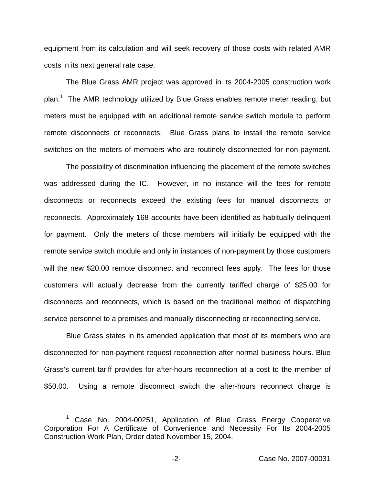equipment from its calculation and will seek recovery of those costs with related AMR costs in its next general rate case.

The Blue Grass AMR project was approved in its 2004-2005 construction work plan.<sup>1</sup> The AMR technology utilized by Blue Grass enables remote meter reading, but meters must be equipped with an additional remote service switch module to perform remote disconnects or reconnects. Blue Grass plans to install the remote service switches on the meters of members who are routinely disconnected for non-payment.

The possibility of discrimination influencing the placement of the remote switches was addressed during the IC. However, in no instance will the fees for remote disconnects or reconnects exceed the existing fees for manual disconnects or reconnects. Approximately 168 accounts have been identified as habitually delinquent for payment. Only the meters of those members will initially be equipped with the remote service switch module and only in instances of non-payment by those customers will the new \$20.00 remote disconnect and reconnect fees apply. The fees for those customers will actually decrease from the currently tariffed charge of \$25.00 for disconnects and reconnects, which is based on the traditional method of dispatching service personnel to a premises and manually disconnecting or reconnecting service.

Blue Grass states in its amended application that most of its members who are disconnected for non-payment request reconnection after normal business hours. Blue Grass's current tariff provides for after-hours reconnection at a cost to the member of \$50.00. Using a remote disconnect switch the after-hours reconnect charge is

Case No. 2004-00251, Application of Blue Grass Energy Cooperative Corporation For A Certificate of Convenience and Necessity For Its 2004-2005 Construction Work Plan, Order dated November 15, 2004.